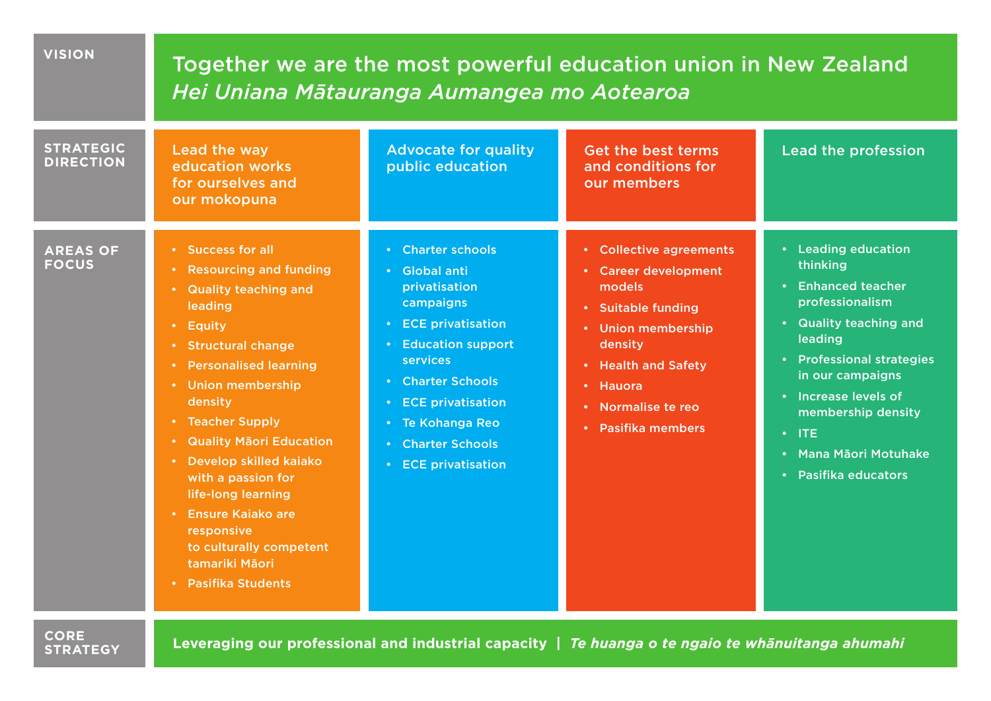| <b>VISION</b>                        | Together we are the most powerful education union in New Zealand<br>Hei Uniana Mātauranga Aumangea mo Aotearoa                                                                                                                                                                                                                                                                                                                          |                                                                                                                                                                                                                                               |                                                                                                                                                                                                      |                                                                                                                                                                                                                                                                              |
|--------------------------------------|-----------------------------------------------------------------------------------------------------------------------------------------------------------------------------------------------------------------------------------------------------------------------------------------------------------------------------------------------------------------------------------------------------------------------------------------|-----------------------------------------------------------------------------------------------------------------------------------------------------------------------------------------------------------------------------------------------|------------------------------------------------------------------------------------------------------------------------------------------------------------------------------------------------------|------------------------------------------------------------------------------------------------------------------------------------------------------------------------------------------------------------------------------------------------------------------------------|
| <b>STRATEGIC</b><br><b>DIRECTION</b> | Lead the way<br>education works<br>for ourselves and<br>our mokopuna                                                                                                                                                                                                                                                                                                                                                                    | <b>Advocate for quality</b><br>public education                                                                                                                                                                                               | Get the best terms<br>and conditions for<br>our members                                                                                                                                              | Lead the profession                                                                                                                                                                                                                                                          |
| <b>AREAS OF</b><br><b>FOCUS</b>      | • Success for all<br>• Resourcing and funding<br>• Quality teaching and<br>leading<br>• Equity<br>• Structural change<br>• Personalised learning<br>• Union membership<br>density<br>• Teacher Supply<br><b>Quality Mäori Education</b><br>$\bullet$ .<br>• Develop skilled kaiako<br>with a passion for<br>life-long learning<br>• Ensure Kaiako are<br>responsive<br>to culturally competent<br>tamariki Māori<br>• Pasifika Students | • Charter schools<br>• Global anti<br>privatisation<br>campaigns<br>• ECE privatisation<br>• Education support<br><b>services</b><br>• Charter Schools<br>• ECE privatisation<br>• Te Kohanga Reo<br>• Charter Schools<br>• ECE privatisation | • Collective agreements<br>• Career development<br>models<br>• Suitable funding<br><b>Union membership</b><br>density<br>• Health and Safety<br>• Hauora<br>• Normalise te reo<br>• Pasifika members | • Leading education<br>thinking<br>• Enhanced teacher<br>professionalism<br>• Quality teaching and<br>leading<br>• Professional strategies<br>in our campaigns<br>· Increase levels of<br>membership density<br>$\cdot$ ITE<br>• Mana Māori Motuhake<br>• Pasifika educators |
| <b>CORE</b>                          | Lavasaning any nyafassianal and industrial sanasity. L.Ta huangga ta ngais ta whānyitanga ahumahi                                                                                                                                                                                                                                                                                                                                       |                                                                                                                                                                                                                                               |                                                                                                                                                                                                      |                                                                                                                                                                                                                                                                              |

**STRATEGY** 

**Leveraging our professional and industrial capacity |** *Te huanga o te ngaio te whānuitanga ahumahi*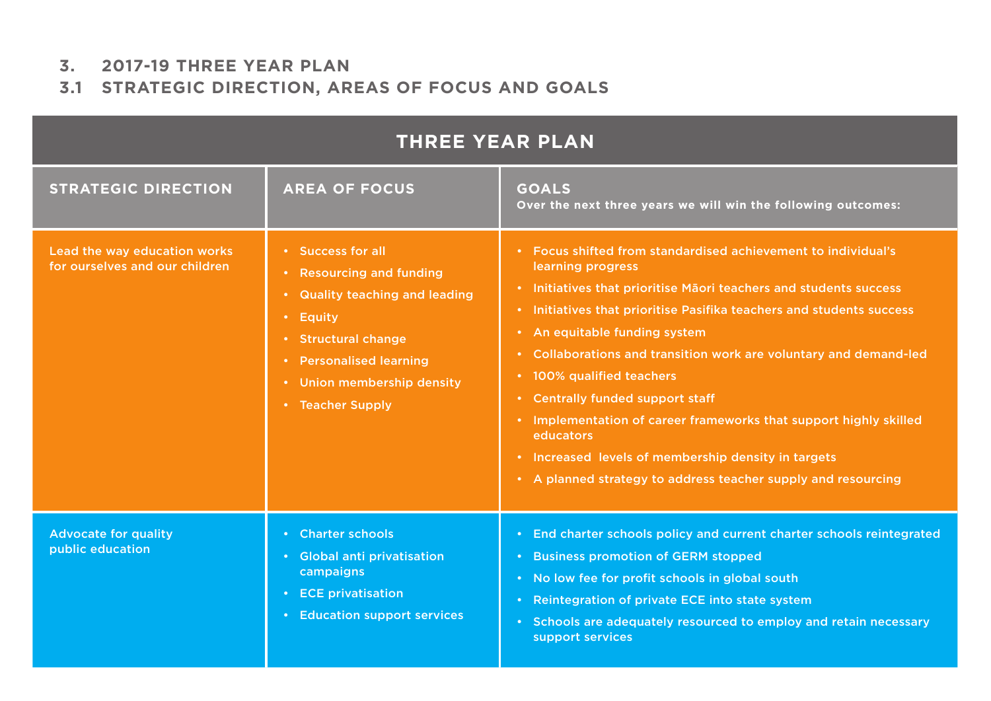## **3. 2017-19 THREE YEAR PLAN**

**3.1 STRATEGIC DIRECTION, AREAS OF FOCUS AND GOALS**

| <b>THREE YEAR PLAN</b>                                         |                                                                                                                                                                                                 |                                                                                                                                                                                                                                                                                                                                                                                                                                                                                                                                                                                                                                                   |  |  |  |
|----------------------------------------------------------------|-------------------------------------------------------------------------------------------------------------------------------------------------------------------------------------------------|---------------------------------------------------------------------------------------------------------------------------------------------------------------------------------------------------------------------------------------------------------------------------------------------------------------------------------------------------------------------------------------------------------------------------------------------------------------------------------------------------------------------------------------------------------------------------------------------------------------------------------------------------|--|--|--|
| <b>STRATEGIC DIRECTION</b>                                     | <b>AREA OF FOCUS</b>                                                                                                                                                                            | <b>GOALS</b><br>Over the next three years we will win the following outcomes:                                                                                                                                                                                                                                                                                                                                                                                                                                                                                                                                                                     |  |  |  |
| Lead the way education works<br>for ourselves and our children | • Success for all<br>• Resourcing and funding<br>• Quality teaching and leading<br>• Equity<br>• Structural change<br>• Personalised learning<br>• Union membership density<br>• Teacher Supply | • Focus shifted from standardised achievement to individual's<br>learning progress<br>• Initiatives that prioritise Māori teachers and students success<br>. Initiatives that prioritise Pasifika teachers and students success<br>• An equitable funding system<br>Collaborations and transition work are voluntary and demand-led<br>$\bullet$ .<br>• 100% qualified teachers<br><b>Centrally funded support staff</b><br>$\bullet$ .<br>• Implementation of career frameworks that support highly skilled<br>educators<br>• Increased levels of membership density in targets<br>• A planned strategy to address teacher supply and resourcing |  |  |  |
| <b>Advocate for quality</b><br>public education                | <b>Charter schools</b><br>$\bullet$ .<br>• Global anti privatisation<br>campaigns<br>• ECE privatisation<br>• Education support services                                                        | • End charter schools policy and current charter schools reintegrated<br><b>Business promotion of GERM stopped</b><br>$\bullet$ .<br>• No low fee for profit schools in global south<br>Reintegration of private ECE into state system<br>$\bullet$ .<br>• Schools are adequately resourced to employ and retain necessary<br>support services                                                                                                                                                                                                                                                                                                    |  |  |  |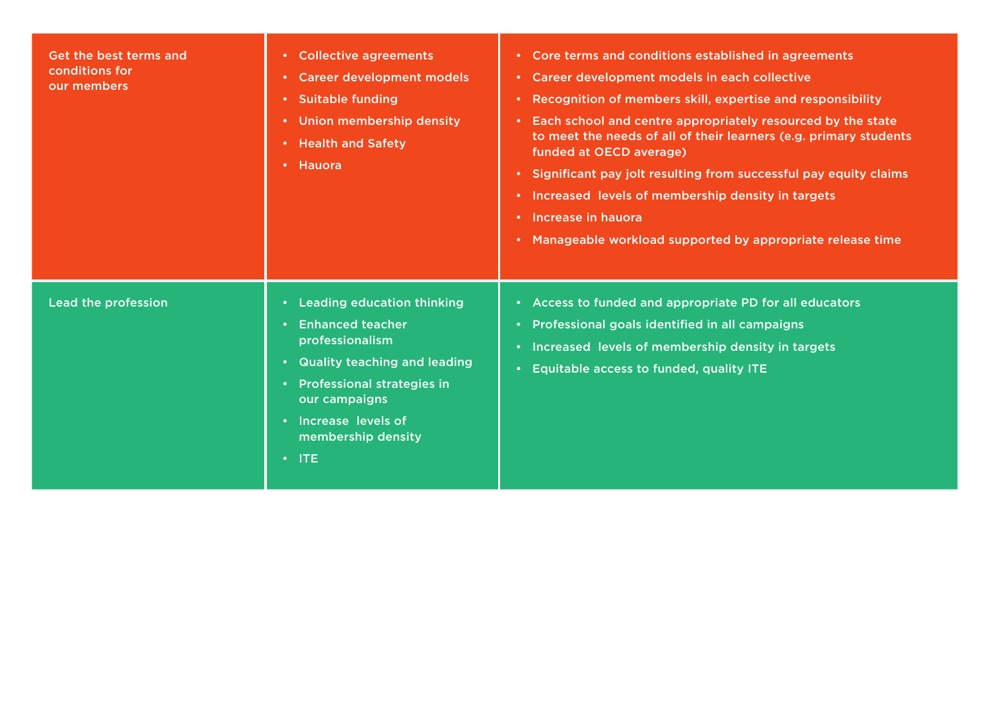| Get the best terms and<br>conditions for<br>our members | • Collective agreements<br>• Career development models<br>• Suitable funding<br>• Union membership density<br>• Health and Safety<br>• Hauora                                                                                                                                        | • Core terms and conditions established in agreements<br>• Career development models in each collective<br>Recognition of members skill, expertise and responsibility<br>Each school and centre appropriately resourced by the state<br>to meet the needs of all of their learners (e.g. primary students<br>funded at OECD average)<br>• Significant pay jolt resulting from successful pay equity claims<br>• Increased levels of membership density in targets<br>Increase in hauora<br>$\bullet$ .<br>• Manageable workload supported by appropriate release time |
|---------------------------------------------------------|--------------------------------------------------------------------------------------------------------------------------------------------------------------------------------------------------------------------------------------------------------------------------------------|-----------------------------------------------------------------------------------------------------------------------------------------------------------------------------------------------------------------------------------------------------------------------------------------------------------------------------------------------------------------------------------------------------------------------------------------------------------------------------------------------------------------------------------------------------------------------|
| Lead the profession                                     | Leading education thinking<br>$\bullet$<br><b>Enhanced teacher</b><br>professionalism<br><b>Quality teaching and leading</b><br>$\bullet$<br><b>Professional strategies in</b><br>$\bullet$<br>our campaigns<br>Increase levels of<br>$\bullet$<br>membership density<br>$\cdot$ ITE | • Access to funded and appropriate PD for all educators<br>• Professional goals identified in all campaigns<br>• Increased levels of membership density in targets<br>• Equitable access to funded, quality ITE                                                                                                                                                                                                                                                                                                                                                       |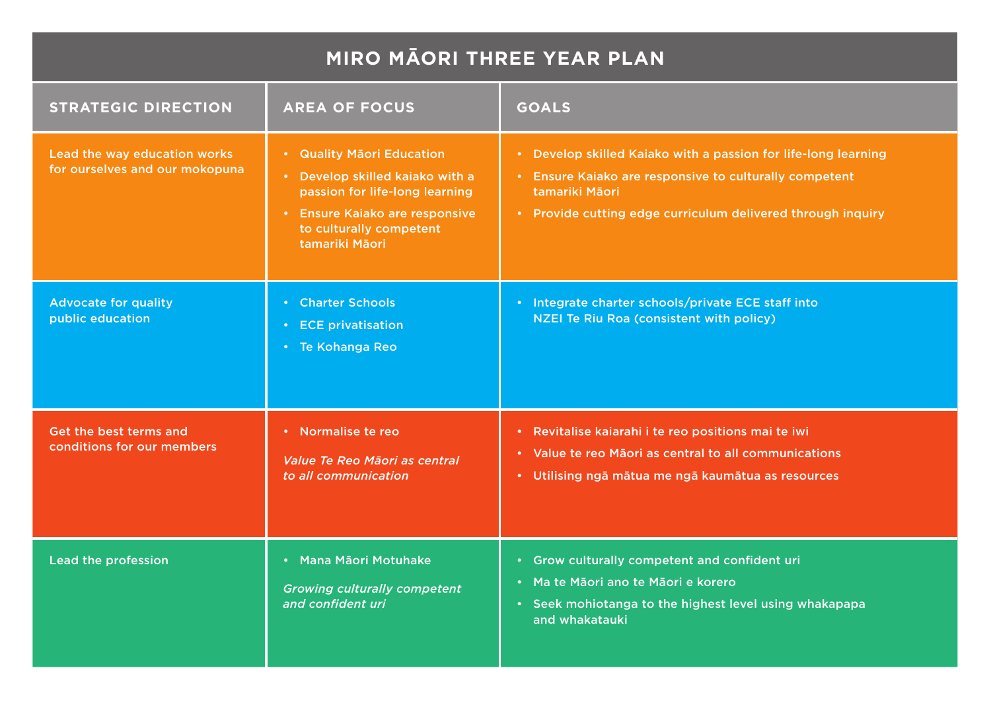## **MIRO MĀORI THREE YEAR PLAN**

| <b>STRATEGIC DIRECTION</b>                                     | <b>AREA OF FOCUS</b>                                                                                                                                                                            | <b>GOALS</b>                                                                                                                                                                                                                      |
|----------------------------------------------------------------|-------------------------------------------------------------------------------------------------------------------------------------------------------------------------------------------------|-----------------------------------------------------------------------------------------------------------------------------------------------------------------------------------------------------------------------------------|
| Lead the way education works<br>for ourselves and our mokopuna | <b>Quality Maori Education</b><br>$\bullet$<br>• Develop skilled kaiako with a<br>passion for life-long learning<br>• Ensure Kaiako are responsive<br>to culturally competent<br>tamariki Māori | Develop skilled Kaiako with a passion for life-long learning<br>$\bullet$<br>Ensure Kaiako are responsive to culturally competent<br>$\bullet$ .<br>tamariki Māori<br>• Provide cutting edge curriculum delivered through inquiry |
| <b>Advocate for quality</b><br>public education                | • Charter Schools<br>• ECE privatisation<br>• Te Kohanga Reo                                                                                                                                    | · Integrate charter schools/private ECE staff into<br>NZEI Te Riu Roa (consistent with policy)                                                                                                                                    |
| Get the best terms and<br>conditions for our members           | • Normalise te reo<br>Value Te Reo Mãori as central<br>to all communication                                                                                                                     | • Revitalise kaiarahi i te reo positions mai te iwi<br>• Value te reo Māori as central to all communications<br>Utilising ngā mātua me ngā kaumātua as resources<br>$\bullet$ .                                                   |
| <b>Lead the profession</b>                                     | • Mana Māori Motuhake<br><b>Growing culturally competent</b><br>and confident uri                                                                                                               | • Grow culturally competent and confident uri<br>Ma te Māori ano te Māori e korero<br>$\bullet$<br>• Seek mohiotanga to the highest level using whakapapa<br>and whakatauki                                                       |